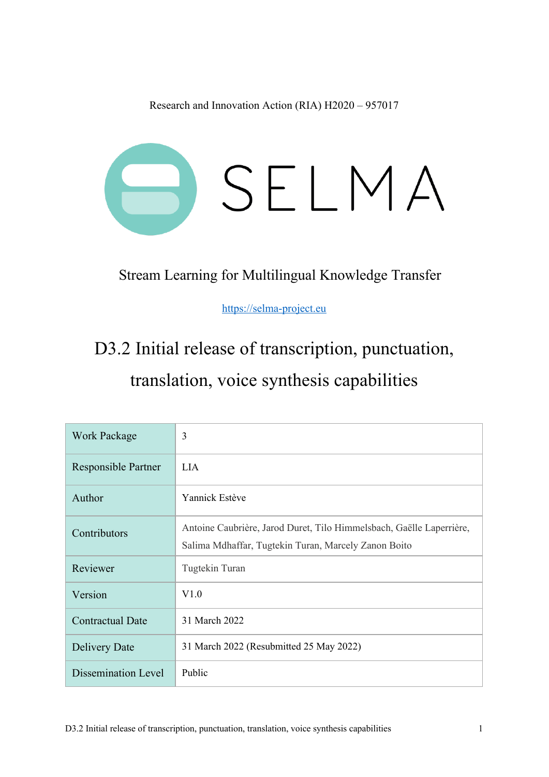Research and Innovation Action (RIA) H2020 – 957017



Stream Learning for Multilingual Knowledge Transfer

https://selma-project.eu

# D3.2 Initial release of transcription, punctuation, translation, voice synthesis capabilities

| <b>Work Package</b>     | 3                                                                                                                            |  |  |  |
|-------------------------|------------------------------------------------------------------------------------------------------------------------------|--|--|--|
| Responsible Partner     | <b>LIA</b>                                                                                                                   |  |  |  |
| Author                  | Yannick Estève                                                                                                               |  |  |  |
| Contributors            | Antoine Caubrière, Jarod Duret, Tilo Himmelsbach, Gaëlle Laperrière,<br>Salima Mdhaffar, Tugtekin Turan, Marcely Zanon Boito |  |  |  |
| Reviewer                | Tugtekin Turan                                                                                                               |  |  |  |
| Version                 | V1.0                                                                                                                         |  |  |  |
| <b>Contractual Date</b> | 31 March 2022                                                                                                                |  |  |  |
| Delivery Date           | 31 March 2022 (Resubmitted 25 May 2022)                                                                                      |  |  |  |
| Dissemination Level     | Public                                                                                                                       |  |  |  |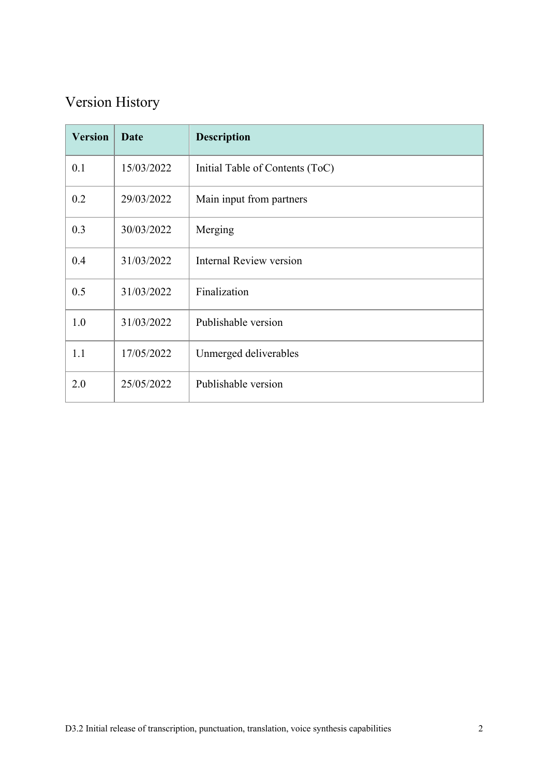### Version History

| <b>Version</b> | <b>Date</b> | <b>Description</b>              |
|----------------|-------------|---------------------------------|
| 0.1            | 15/03/2022  | Initial Table of Contents (ToC) |
| 0.2            | 29/03/2022  | Main input from partners        |
| 0.3            | 30/03/2022  | Merging                         |
| 0.4            | 31/03/2022  | <b>Internal Review version</b>  |
| 0.5            | 31/03/2022  | Finalization                    |
| 1.0            | 31/03/2022  | Publishable version             |
| 1.1            | 17/05/2022  | Unmerged deliverables           |
| 2.0            | 25/05/2022  | Publishable version             |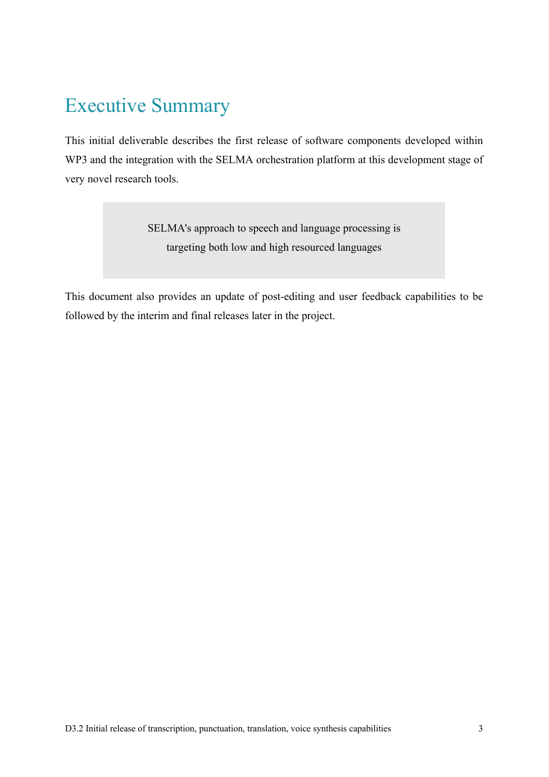### Executive Summary

This initial deliverable describes the first release of software components developed within WP3 and the integration with the SELMA orchestration platform at this development stage of very novel research tools.

> SELMA's approach to speech and language processing is targeting both low and high resourced languages

This document also provides an update of post-editing and user feedback capabilities to be followed by the interim and final releases later in the project.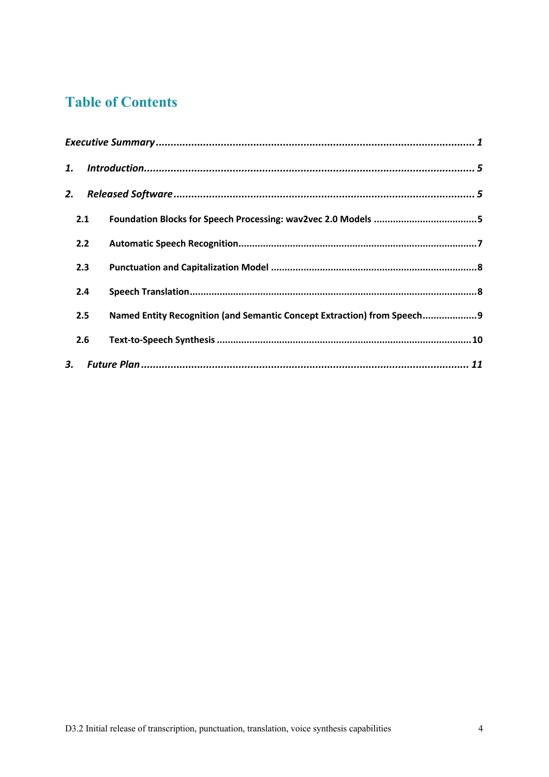### **Table of Contents**

| 1.  |                                                                          |
|-----|--------------------------------------------------------------------------|
| 2.  |                                                                          |
| 2.1 |                                                                          |
| 2.2 |                                                                          |
| 2.3 |                                                                          |
| 2.4 |                                                                          |
| 2.5 | Named Entity Recognition (and Semantic Concept Extraction) from Speech 9 |
| 2.6 |                                                                          |
|     |                                                                          |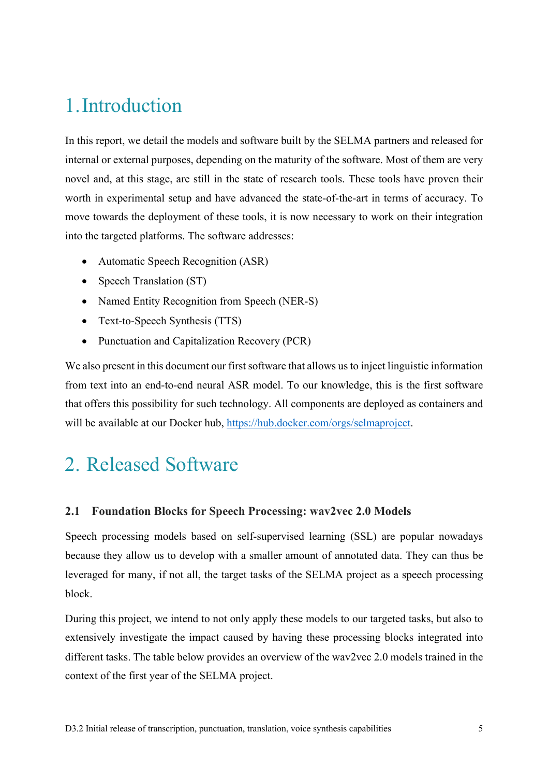## 1.Introduction

In this report, we detail the models and software built by the SELMA partners and released for internal or external purposes, depending on the maturity of the software. Most of them are very novel and, at this stage, are still in the state of research tools. These tools have proven their worth in experimental setup and have advanced the state-of-the-art in terms of accuracy. To move towards the deployment of these tools, it is now necessary to work on their integration into the targeted platforms. The software addresses:

- Automatic Speech Recognition (ASR)
- Speech Translation (ST)
- Named Entity Recognition from Speech (NER-S)
- Text-to-Speech Synthesis (TTS)
- Punctuation and Capitalization Recovery (PCR)

We also present in this document our first software that allows us to inject linguistic information from text into an end-to-end neural ASR model. To our knowledge, this is the first software that offers this possibility for such technology. All components are deployed as containers and will be available at our Docker hub, https://hub.docker.com/orgs/selmaproject.

## 2. Released Software

#### **2.1 Foundation Blocks for Speech Processing: wav2vec 2.0 Models**

Speech processing models based on self-supervised learning (SSL) are popular nowadays because they allow us to develop with a smaller amount of annotated data. They can thus be leveraged for many, if not all, the target tasks of the SELMA project as a speech processing block.

During this project, we intend to not only apply these models to our targeted tasks, but also to extensively investigate the impact caused by having these processing blocks integrated into different tasks. The table below provides an overview of the wav2vec 2.0 models trained in the context of the first year of the SELMA project.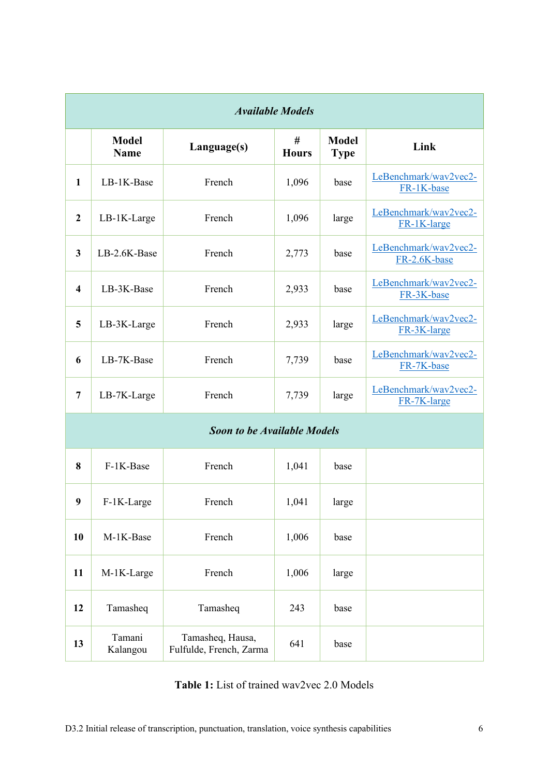| <b>Available Models</b>            |                             |                                             |                   |                             |                                       |  |  |  |
|------------------------------------|-----------------------------|---------------------------------------------|-------------------|-----------------------------|---------------------------------------|--|--|--|
|                                    | <b>Model</b><br><b>Name</b> | Language(s)                                 | #<br><b>Hours</b> | <b>Model</b><br><b>Type</b> | Link                                  |  |  |  |
| $\mathbf{1}$                       | LB-1K-Base                  | French                                      | 1,096             | base                        | LeBenchmark/wav2vec2-<br>FR-1K-base   |  |  |  |
| $\overline{2}$                     | LB-1K-Large                 | French                                      | 1,096             | large                       | LeBenchmark/wav2vec2-<br>FR-1K-large  |  |  |  |
| 3                                  | LB-2.6K-Base                | French                                      | 2,773             | base                        | LeBenchmark/wav2vec2-<br>FR-2.6K-base |  |  |  |
| 4                                  | LB-3K-Base                  | French                                      | 2,933             | base                        | LeBenchmark/wav2vec2-<br>FR-3K-base   |  |  |  |
| 5                                  | LB-3K-Large                 | French                                      | 2,933             | large                       | LeBenchmark/wav2vec2-<br>FR-3K-large  |  |  |  |
| 6                                  | LB-7K-Base                  | French                                      | 7,739             | base                        | LeBenchmark/wav2vec2-<br>FR-7K-base   |  |  |  |
| $\overline{7}$                     | LB-7K-Large                 | French                                      | 7,739             | large                       | LeBenchmark/wav2vec2-<br>FR-7K-large  |  |  |  |
| <b>Soon to be Available Models</b> |                             |                                             |                   |                             |                                       |  |  |  |
| 8                                  | F-1K-Base                   | French                                      | 1,041             | base                        |                                       |  |  |  |
| $\boldsymbol{9}$                   | $F-1K-Large$                | French                                      | 1,041             | large                       |                                       |  |  |  |
| 10                                 | M-1K-Base                   | French                                      | 1,006             | base                        |                                       |  |  |  |
| 11                                 | M-1K-Large                  | French                                      | 1,006             | large                       |                                       |  |  |  |
| 12                                 | Tamasheq                    | Tamasheq                                    | 243               | base                        |                                       |  |  |  |
| 13                                 | Tamani<br>Kalangou          | Tamasheq, Hausa,<br>Fulfulde, French, Zarma | 641               | base                        |                                       |  |  |  |

**Table 1:** List of trained wav2vec 2.0 Models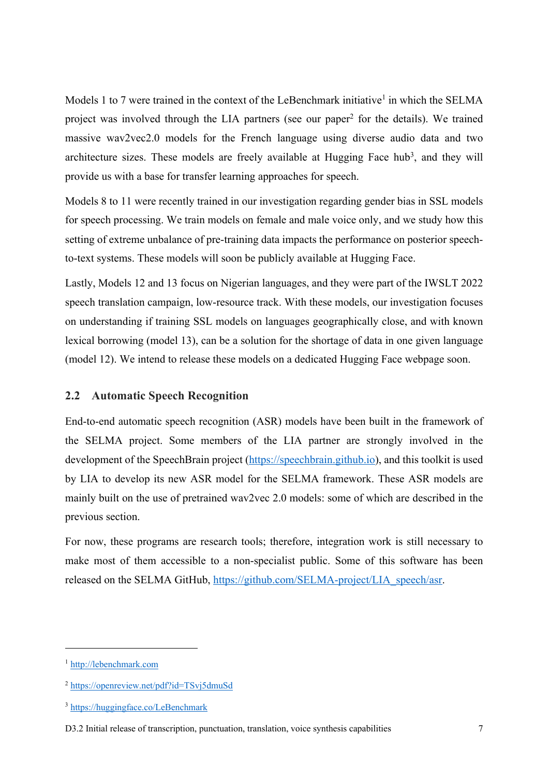Models 1 to 7 were trained in the context of the LeBenchmark initiative<sup>1</sup> in which the SELMA project was involved through the LIA partners (see our paper2 for the details). We trained massive wav2vec2.0 models for the French language using diverse audio data and two architecture sizes. These models are freely available at Hugging Face hub<sup>3</sup>, and they will provide us with a base for transfer learning approaches for speech.

Models 8 to 11 were recently trained in our investigation regarding gender bias in SSL models for speech processing. We train models on female and male voice only, and we study how this setting of extreme unbalance of pre-training data impacts the performance on posterior speechto-text systems. These models will soon be publicly available at Hugging Face.

Lastly, Models 12 and 13 focus on Nigerian languages, and they were part of the IWSLT 2022 speech translation campaign, low-resource track. With these models, our investigation focuses on understanding if training SSL models on languages geographically close, and with known lexical borrowing (model 13), can be a solution for the shortage of data in one given language (model 12). We intend to release these models on a dedicated Hugging Face webpage soon.

#### **2.2 Automatic Speech Recognition**

End-to-end automatic speech recognition (ASR) models have been built in the framework of the SELMA project. Some members of the LIA partner are strongly involved in the development of the SpeechBrain project (https://speechbrain.github.io), and this toolkit is used by LIA to develop its new ASR model for the SELMA framework. These ASR models are mainly built on the use of pretrained wav2vec 2.0 models: some of which are described in the previous section.

For now, these programs are research tools; therefore, integration work is still necessary to make most of them accessible to a non-specialist public. Some of this software has been released on the SELMA GitHub, https://github.com/SELMA-project/LIA\_speech/asr.

<sup>1</sup> http://lebenchmark.com

<sup>2</sup> https://openreview.net/pdf?id=TSvj5dmuSd

<sup>3</sup> https://huggingface.co/LeBenchmark

D3.2 Initial release of transcription, punctuation, translation, voice synthesis capabilities 7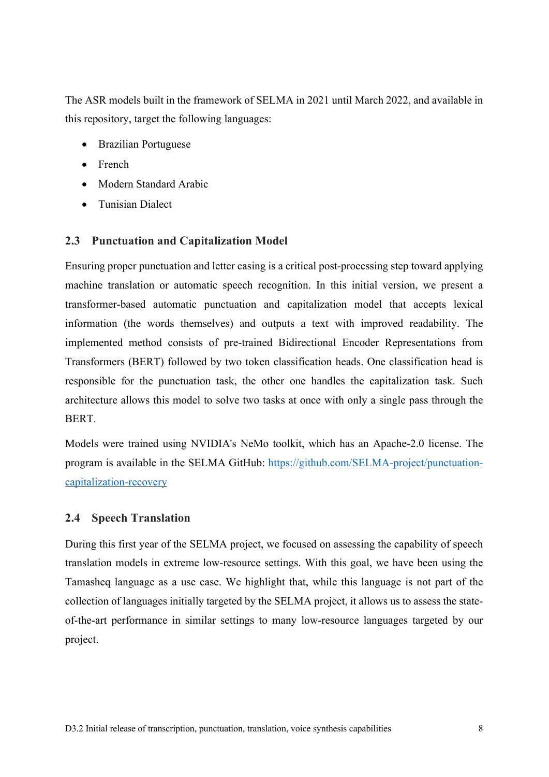The ASR models built in the framework of SELMA in 2021 until March 2022, and available in this repository, target the following languages:

- Brazilian Portuguese
- French
- Modern Standard Arabic
- Tunisian Dialect

#### **2.3 Punctuation and Capitalization Model**

Ensuring proper punctuation and letter casing is a critical post-processing step toward applying machine translation or automatic speech recognition. In this initial version, we present a transformer-based automatic punctuation and capitalization model that accepts lexical information (the words themselves) and outputs a text with improved readability. The implemented method consists of pre-trained Bidirectional Encoder Representations from Transformers (BERT) followed by two token classification heads. One classification head is responsible for the punctuation task, the other one handles the capitalization task. Such architecture allows this model to solve two tasks at once with only a single pass through the BERT.

Models were trained using NVIDIA's NeMo toolkit, which has an Apache-2.0 license. The program is available in the SELMA GitHub: https://github.com/SELMA-project/punctuationcapitalization-recovery

#### **2.4 Speech Translation**

During this first year of the SELMA project, we focused on assessing the capability of speech translation models in extreme low-resource settings. With this goal, we have been using the Tamasheq language as a use case. We highlight that, while this language is not part of the collection of languages initially targeted by the SELMA project, it allows us to assess the stateof-the-art performance in similar settings to many low-resource languages targeted by our project.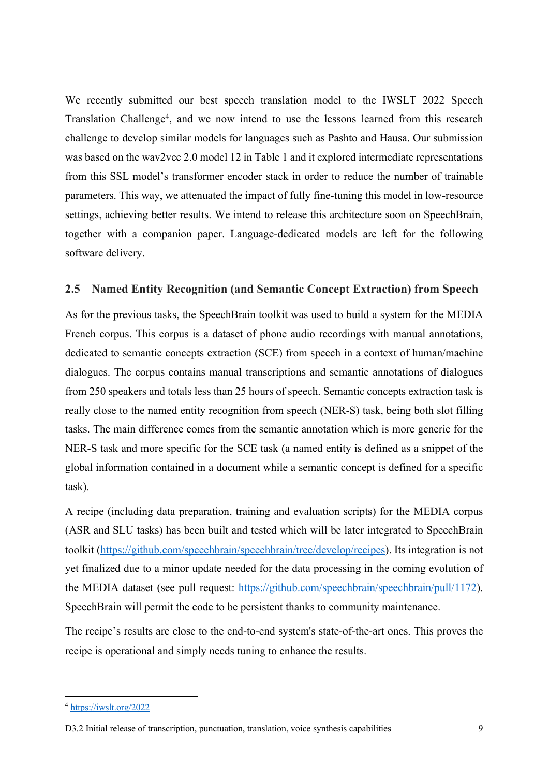We recently submitted our best speech translation model to the IWSLT 2022 Speech Translation Challenge<sup>4</sup>, and we now intend to use the lessons learned from this research challenge to develop similar models for languages such as Pashto and Hausa. Our submission was based on the wav2vec 2.0 model 12 in Table 1 and it explored intermediate representations from this SSL model's transformer encoder stack in order to reduce the number of trainable parameters. This way, we attenuated the impact of fully fine-tuning this model in low-resource settings, achieving better results. We intend to release this architecture soon on SpeechBrain, together with a companion paper. Language-dedicated models are left for the following software delivery.

#### **2.5 Named Entity Recognition (and Semantic Concept Extraction) from Speech**

As for the previous tasks, the SpeechBrain toolkit was used to build a system for the MEDIA French corpus. This corpus is a dataset of phone audio recordings with manual annotations, dedicated to semantic concepts extraction (SCE) from speech in a context of human/machine dialogues. The corpus contains manual transcriptions and semantic annotations of dialogues from 250 speakers and totals less than 25 hours of speech. Semantic concepts extraction task is really close to the named entity recognition from speech (NER-S) task, being both slot filling tasks. The main difference comes from the semantic annotation which is more generic for the NER-S task and more specific for the SCE task (a named entity is defined as a snippet of the global information contained in a document while a semantic concept is defined for a specific task).

A recipe (including data preparation, training and evaluation scripts) for the MEDIA corpus (ASR and SLU tasks) has been built and tested which will be later integrated to SpeechBrain toolkit (https://github.com/speechbrain/speechbrain/tree/develop/recipes). Its integration is not yet finalized due to a minor update needed for the data processing in the coming evolution of the MEDIA dataset (see pull request: https://github.com/speechbrain/speechbrain/pull/1172). SpeechBrain will permit the code to be persistent thanks to community maintenance.

The recipe's results are close to the end-to-end system's state-of-the-art ones. This proves the recipe is operational and simply needs tuning to enhance the results.

<sup>4</sup> https://iwslt.org/2022

D3.2 Initial release of transcription, punctuation, translation, voice synthesis capabilities 9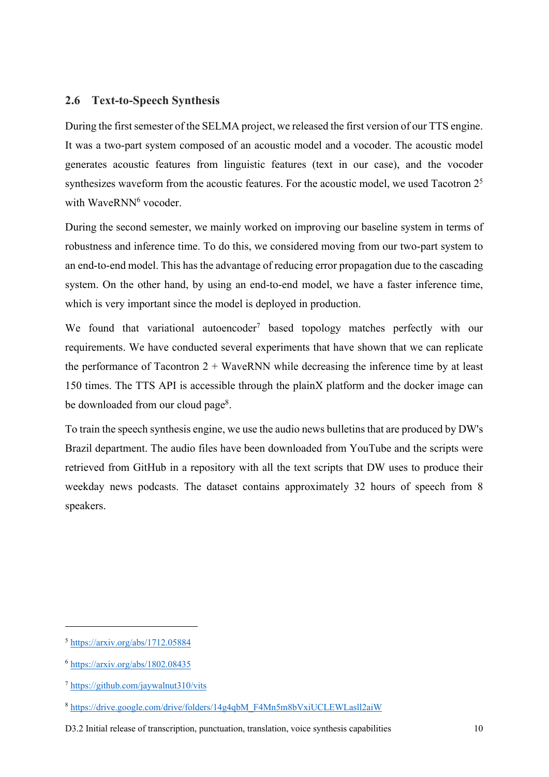#### **2.6 Text-to-Speech Synthesis**

During the first semester of the SELMA project, we released the first version of our TTS engine. It was a two-part system composed of an acoustic model and a vocoder. The acoustic model generates acoustic features from linguistic features (text in our case), and the vocoder synthesizes waveform from the acoustic features. For the acoustic model, we used Tacotron  $2<sup>5</sup>$ with WaveRNN<sup>6</sup> vocoder.

During the second semester, we mainly worked on improving our baseline system in terms of robustness and inference time. To do this, we considered moving from our two-part system to an end-to-end model. This has the advantage of reducing error propagation due to the cascading system. On the other hand, by using an end-to-end model, we have a faster inference time, which is very important since the model is deployed in production.

We found that variational autoencoder<sup>7</sup> based topology matches perfectly with our requirements. We have conducted several experiments that have shown that we can replicate the performance of Tacontron  $2 + WaveRNN$  while decreasing the inference time by at least 150 times. The TTS API is accessible through the plainX platform and the docker image can be downloaded from our cloud page<sup>8</sup>.

To train the speech synthesis engine, we use the audio news bulletins that are produced by DW's Brazil department. The audio files have been downloaded from YouTube and the scripts were retrieved from GitHub in a repository with all the text scripts that DW uses to produce their weekday news podcasts. The dataset contains approximately 32 hours of speech from 8 speakers.

 $5 \text{ https://arxiv.org/abs/1712.05884}$ 

<sup>6</sup> https://arxiv.org/abs/1802.08435

<sup>7</sup> https://github.com/jaywalnut310/vits

<sup>8</sup> https://drive.google.com/drive/folders/14g4qbM\_F4Mn5m8bVxiUCLEWLasll2aiW

D3.2 Initial release of transcription, punctuation, translation, voice synthesis capabilities 10